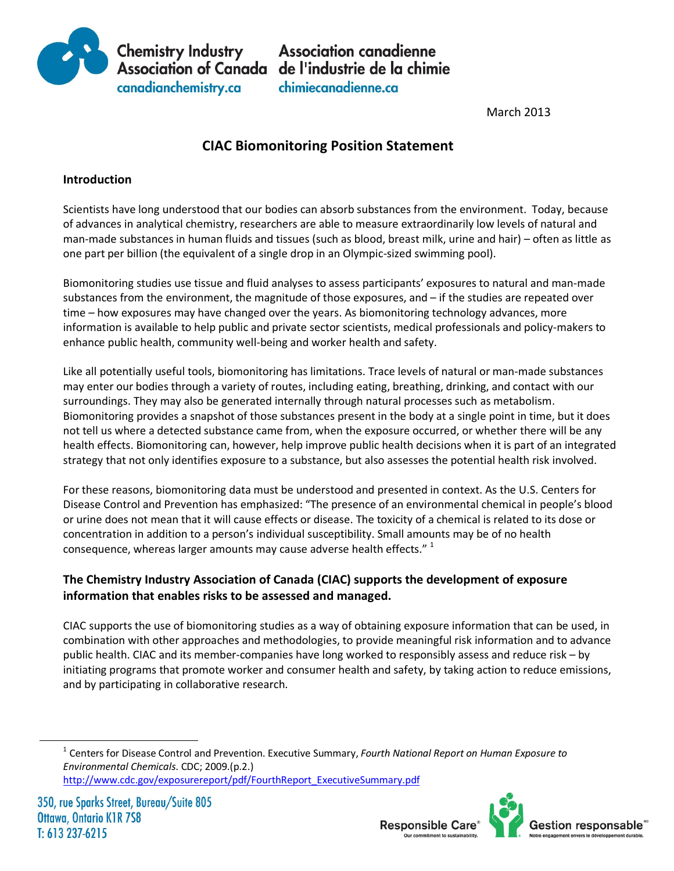

**Chemistry Industry Association canadienne<br>Association of Canada de l'industrie de la chimie** chimiecanadienne.ca

**March 2013** 

# **CIAC Biomonitoring Position Statement**

### **Introduction**

Scientists have long understood that our bodies can absorb substances from the environment. Today, because of advances in analytical chemistry, researchers are able to measure extraordinarily low levels of natural and man-made substances in human fluids and tissues (such as blood, breast milk, urine and hair) – often as little as one part per billion (the equivalent of a single drop in an Olympic-sized swimming pool).

Biomonitoring studies use tissue and fluid analyses to assess participants' exposures to natural and man-made substances from the environment, the magnitude of those exposures, and – if the studies are repeated over time – how exposures may have changed over the years. As biomonitoring technology advances, more information is available to help public and private sector scientists, medical professionals and policy-makers to enhance public health, community well-being and worker health and safety.

Like all potentially useful tools, biomonitoring has limitations. Trace levels of natural or man-made substances may enter our bodies through a variety of routes, including eating, breathing, drinking, and contact with our surroundings. They may also be generated internally through natural processes such as metabolism. Biomonitoring provides a snapshot of those substances present in the body at a single point in time, but it does not tell us where a detected substance came from, when the exposure occurred, or whether there will be any health effects. Biomonitoring can, however, help improve public health decisions when it is part of an integrated strategy that not only identifies exposure to a substance, but also assesses the potential health risk involved.

For these reasons, biomonitoring data must be understood and presented in context. As the U.S. Centers for Disease Control and Prevention has emphasized: "The presence of an environmental chemical in people's blood or urine does not mean that it will cause effects or disease. The toxicity of a chemical is related to its dose or concentration in addition to a person's individual susceptibility. Small amounts may be of no health consequence, whereas larger amounts may cause adverse health effects."  $1$ 

## **The Chemistry Industry Association of Canada (CIAC) supports the development of exposure information that enables risks to be assessed and managed.**

CIAC supports the use of biomonitoring studies as a way of obtaining exposure information that can be used, in combination with other approaches and methodologies, to provide meaningful risk information and to advance public health. CIAC and its member-companies have long worked to responsibly assess and reduce risk – by initiating programs that promote worker and consumer health and safety, by taking action to reduce emissions, and by participating in collaborative research.



 <sup>1</sup> Centers for Disease Control and Prevention. Executive Summary, *Fourth National Report on Human Exposure to Environmental Chemicals*. CDC; 2009.(p.2.) http://www.cdc.gov/exposurereport/pdf/FourthReport\_ExecutiveSummary.pdf